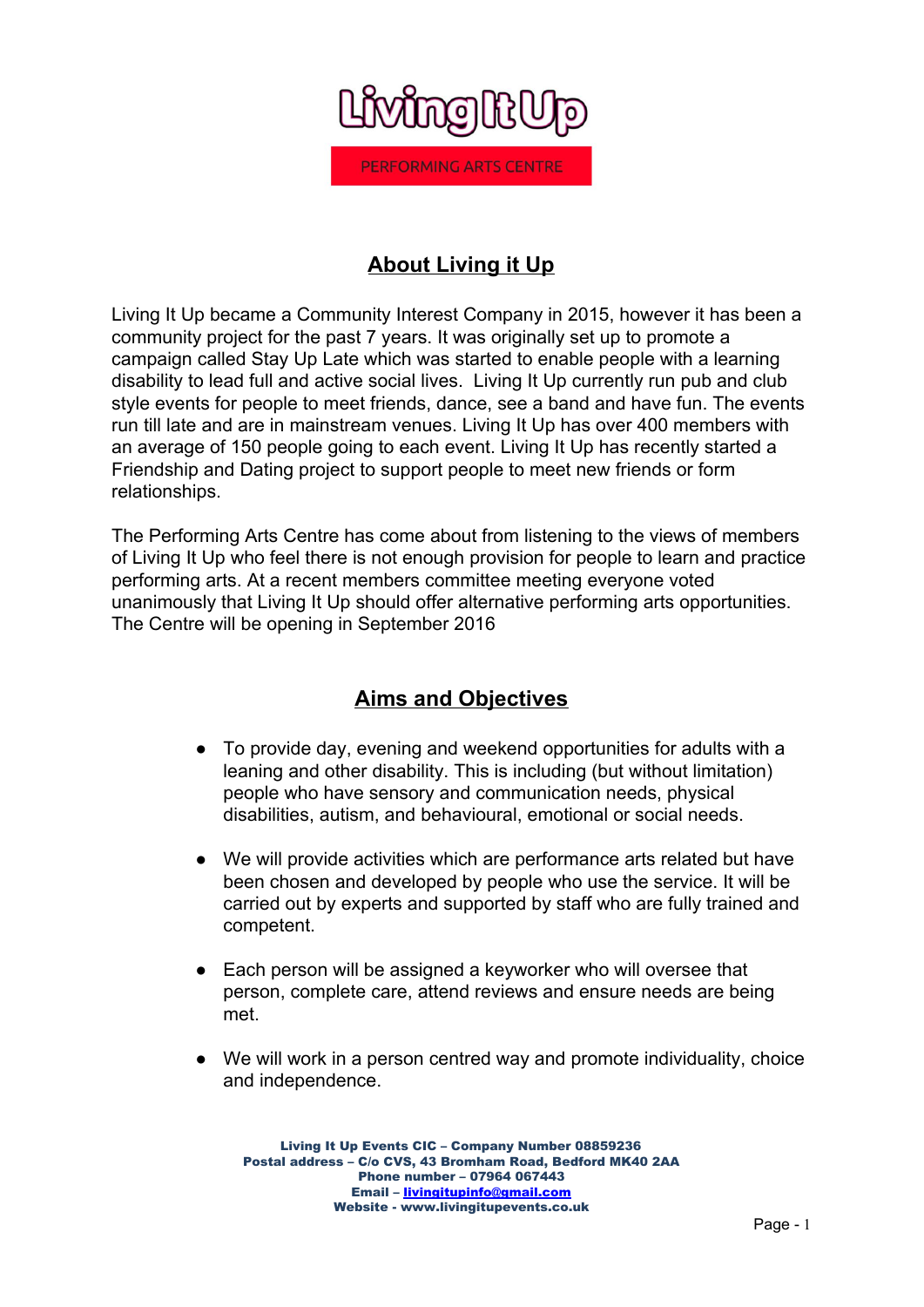

# **About Living it Up**

Living It Up became a Community Interest Company in 2015, however it has been a community project for the past 7 years. It was originally set up to promote a campaign called Stay Up Late which was started to enable people with a learning disability to lead full and active social lives. Living It Up currently run pub and club style events for people to meet friends, dance, see a band and have fun. The events run till late and are in mainstream venues. Living It Up has over 400 members with an average of 150 people going to each event. Living It Up has recently started a Friendship and Dating project to support people to meet new friends or form relationships.

The Performing Arts Centre has come about from listening to the views of members of Living It Up who feel there is not enough provision for people to learn and practice performing arts. At a recent members committee meeting everyone voted unanimously that Living It Up should offer alternative performing arts opportunities. The Centre will be opening in September 2016

## **Aims and Objectives**

- To provide day, evening and weekend opportunities for adults with a leaning and other disability. This is including (but without limitation) people who have sensory and communication needs, physical disabilities, autism, and behavioural, emotional or social needs.
- We will provide activities which are performance arts related but have been chosen and developed by people who use the service. It will be carried out by experts and supported by staff who are fully trained and competent.
- Each person will be assigned a keyworker who will oversee that person, complete care, attend reviews and ensure needs are being met.
- We will work in a person centred way and promote individuality, choice and independence.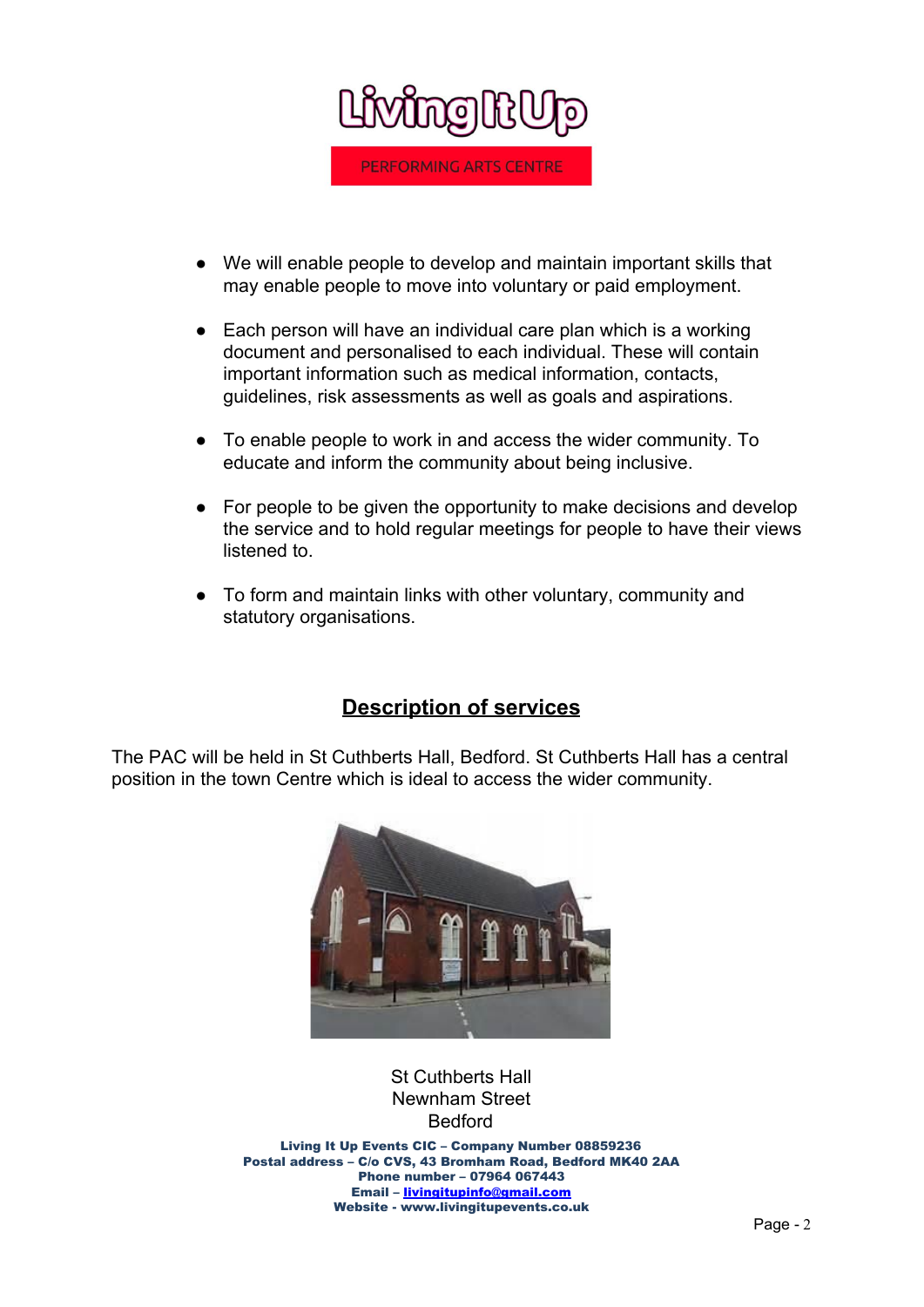

- We will enable people to develop and maintain important skills that may enable people to move into voluntary or paid employment.
- Each person will have an individual care plan which is a working document and personalised to each individual. These will contain important information such as medical information, contacts, guidelines, risk assessments as well as goals and aspirations.
- To enable people to work in and access the wider community. To educate and inform the community about being inclusive.
- For people to be given the opportunity to make decisions and develop the service and to hold regular meetings for people to have their views listened to.
- To form and maintain links with other voluntary, community and statutory organisations.

## **Description of services**

The PAC will be held in St Cuthberts Hall, Bedford. St Cuthberts Hall has a central position in the town Centre which is ideal to access the wider community.



## St Cuthberts Hall Newnham Street Bedford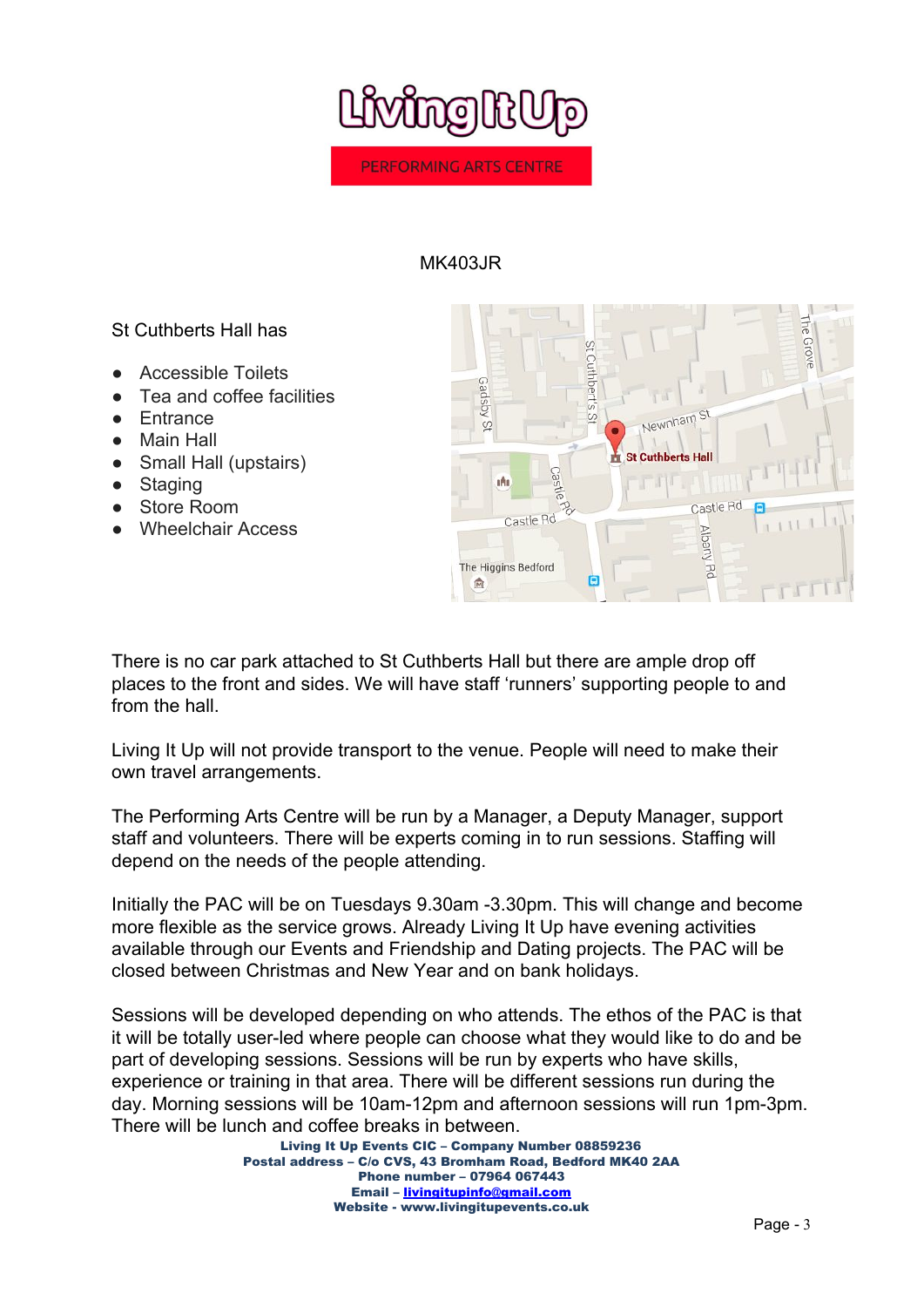

### MK403JR

### St Cuthberts Hall has

- **Accessible Toilets**
- Tea and coffee facilities
- **Entrance**
- **Main Hall**
- Small Hall (upstairs)
- Staging
- Store Room
- Wheelchair Access



There is no car park attached to St Cuthberts Hall but there are ample drop off places to the front and sides. We will have staff 'runners' supporting people to and from the hall.

Living It Up will not provide transport to the venue. People will need to make their own travel arrangements.

The Performing Arts Centre will be run by a Manager, a Deputy Manager, support staff and volunteers. There will be experts coming in to run sessions. Staffing will depend on the needs of the people attending.

Initially the PAC will be on Tuesdays 9.30am -3.30pm. This will change and become more flexible as the service grows. Already Living It Up have evening activities available through our Events and Friendship and Dating projects. The PAC will be closed between Christmas and New Year and on bank holidays.

Sessions will be developed depending on who attends. The ethos of the PAC is that it will be totally user-led where people can choose what they would like to do and be part of developing sessions. Sessions will be run by experts who have skills, experience or training in that area. There will be different sessions run during the day. Morning sessions will be 10am-12pm and afternoon sessions will run 1pm-3pm. There will be lunch and coffee breaks in between.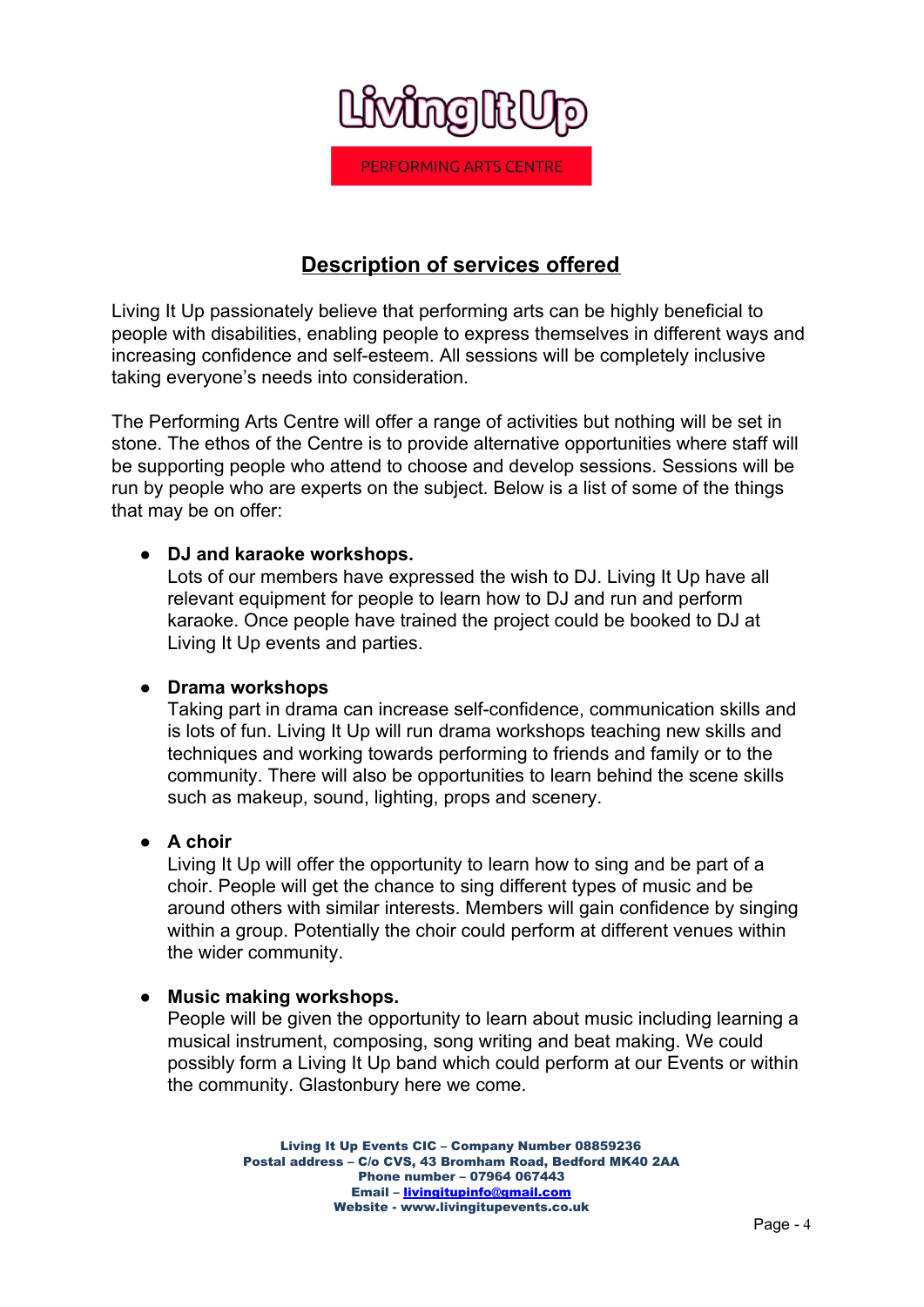

## **Description of services offered**

Living It Up passionately believe that performing arts can be highly beneficial to people with disabilities, enabling people to express themselves in different ways and increasing confidence and self-esteem. All sessions will be completely inclusive taking everyone's needs into consideration.

The Performing Arts Centre will offer a range of activities but nothing will be set in stone. The ethos of the Centre is to provide alternative opportunities where staff will be supporting people who attend to choose and develop sessions. Sessions will be run by people who are experts on the subject. Below is a list of some of the things that may be on offer:

### **● DJ and karaoke workshops.**

Lots of our members have expressed the wish to DJ. Living It Up have all relevant equipment for people to learn how to DJ and run and perform karaoke. Once people have trained the project could be booked to DJ at Living It Up events and parties.

#### **● Drama workshops**

Taking part in drama can increase self-confidence, communication skills and is lots of fun. Living It Up will run drama workshops teaching new skills and techniques and working towards performing to friends and family or to the community. There will also be opportunities to learn behind the scene skills such as makeup, sound, lighting, props and scenery.

#### **● A choir**

Living It Up will offer the opportunity to learn how to sing and be part of a choir. People will get the chance to sing different types of music and be around others with similar interests. Members will gain confidence by singing within a group. Potentially the choir could perform at different venues within the wider community.

## **● Music making workshops.**

People will be given the opportunity to learn about music including learning a musical instrument, composing, song writing and beat making. We could possibly form a Living It Up band which could perform at our Events or within the community. Glastonbury here we come.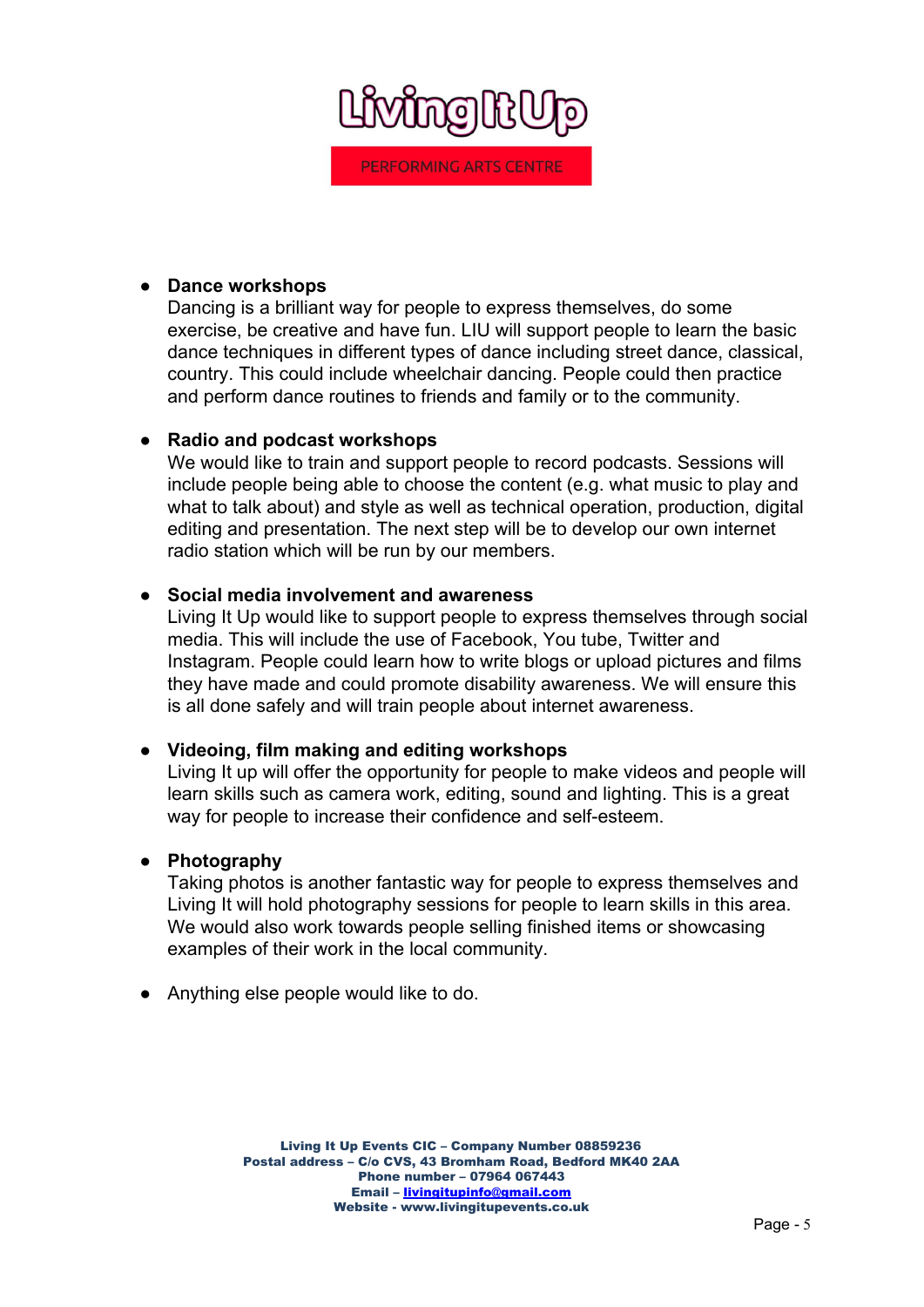

#### **● Dance workshops**

Dancing is a brilliant way for people to express themselves, do some exercise, be creative and have fun. LIU will support people to learn the basic dance techniques in different types of dance including street dance, classical, country. This could include wheelchair dancing. People could then practice and perform dance routines to friends and family or to the community.

#### ● **Radio and podcast workshops**

We would like to train and support people to record podcasts. Sessions will include people being able to choose the content (e.g. what music to play and what to talk about) and style as well as technical operation, production, digital editing and presentation. The next step will be to develop our own internet radio station which will be run by our members.

#### ● **Social media involvement and awareness**

Living It Up would like to support people to express themselves through social media. This will include the use of Facebook, You tube, Twitter and Instagram. People could learn how to write blogs or upload pictures and films they have made and could promote disability awareness. We will ensure this is all done safely and will train people about internet awareness.

#### ● **Videoing, film making and editing workshops**

Living It up will offer the opportunity for people to make videos and people will learn skills such as camera work, editing, sound and lighting. This is a great way for people to increase their confidence and self-esteem.

#### **● Photography**

Taking photos is another fantastic way for people to express themselves and Living It will hold photography sessions for people to learn skills in this area. We would also work towards people selling finished items or showcasing examples of their work in the local community.

● Anything else people would like to do.